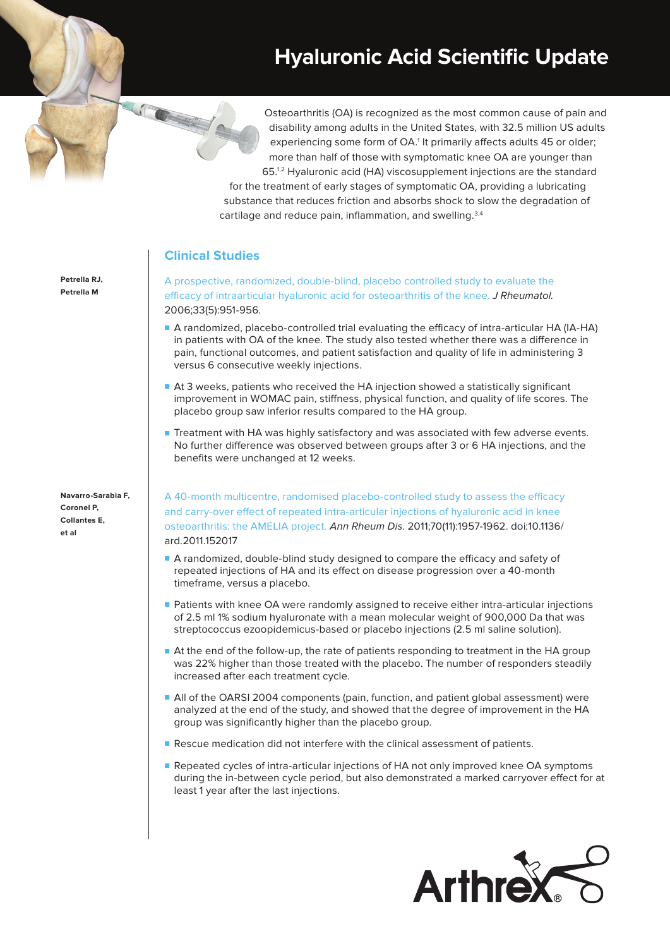## **Hyaluronic Acid Scientific Update**

Osteoarthritis (OA) is recognized as the most common cause of pain and disability among adults in the United States, with 32.5 million US adults experiencing some form of OA.<sup>1</sup> It primarily affects adults 45 or older; more than half of those with symptomatic knee OA are younger than 65.1,2 Hyaluronic acid (HA) viscosupplement injections are the standard

for the treatment of early stages of symptomatic OA, providing a lubricating substance that reduces friction and absorbs shock to slow the degradation of cartilage and reduce pain, inflammation, and swelling.<sup>3,4</sup>

## **Clinical Studies**

[A prospective, randomized, double-blind, placebo controlled study to evaluate the](https://pubmed.ncbi.nlm.nih.gov/16652426/)  [efficacy of intraarticular hyaluronic acid for osteoarthritis of the knee.](https://pubmed.ncbi.nlm.nih.gov/16652426/) J Rheumatol. 2006;33(5):951-956.

- A randomized, placebo-controlled trial evaluating the efficacy of intra-articular HA (IA-HA) in patients with OA of the knee. The study also tested whether there was a difference in pain, functional outcomes, and patient satisfaction and quality of life in administering 3 versus 6 consecutive weekly injections.
- At 3 weeks, patients who received the HA injection showed a statistically significant improvement in WOMAC pain, stiffness, physical function, and quality of life scores. The placebo group saw inferior results compared to the HA group.
- Treatment with HA was highly satisfactory and was associated with few adverse events. No further difference was observed between groups after 3 or 6 HA injections, and the benefits were unchanged at 12 weeks.

[A 40-month multicentre, randomised placebo-controlled study to assess the efficacy](https://pubmed.ncbi.nlm.nih.gov/21852252/)  [and carry-over effect of repeated intra-articular injections of hyaluronic acid in knee](https://pubmed.ncbi.nlm.nih.gov/21852252/)  [osteoarthritis: the AMELIA project.](https://pubmed.ncbi.nlm.nih.gov/21852252/) Ann Rheum Dis. 2011;70(11):1957-1962. doi:10.1136/ ard.2011.152017

- A randomized, double-blind study designed to compare the efficacy and safety of repeated injections of HA and its effect on disease progression over a 40-month timeframe, versus a placebo.
- Patients with knee OA were randomly assigned to receive either intra-articular injections of 2.5 ml 1% sodium hyaluronate with a mean molecular weight of 900,000 Da that was streptococcus ezoopidemicus-based or placebo injections (2.5 ml saline solution).
- At the end of the follow-up, the rate of patients responding to treatment in the HA group was 22% higher than those treated with the placebo. The number of responders steadily increased after each treatment cycle.
- All of the OARSI 2004 components (pain, function, and patient global assessment) were analyzed at the end of the study, and showed that the degree of improvement in the HA group was significantly higher than the placebo group.
- Rescue medication did not interfere with the clinical assessment of patients.
- Repeated cycles of intra-articular injections of HA not only improved knee OA symptoms during the in-between cycle period, but also demonstrated a marked carryover effect for at least 1 year after the last injections.



**Petrella RJ, Petrella M**

**Navarro-Sarabia F, Coronel P, Collantes E, et al**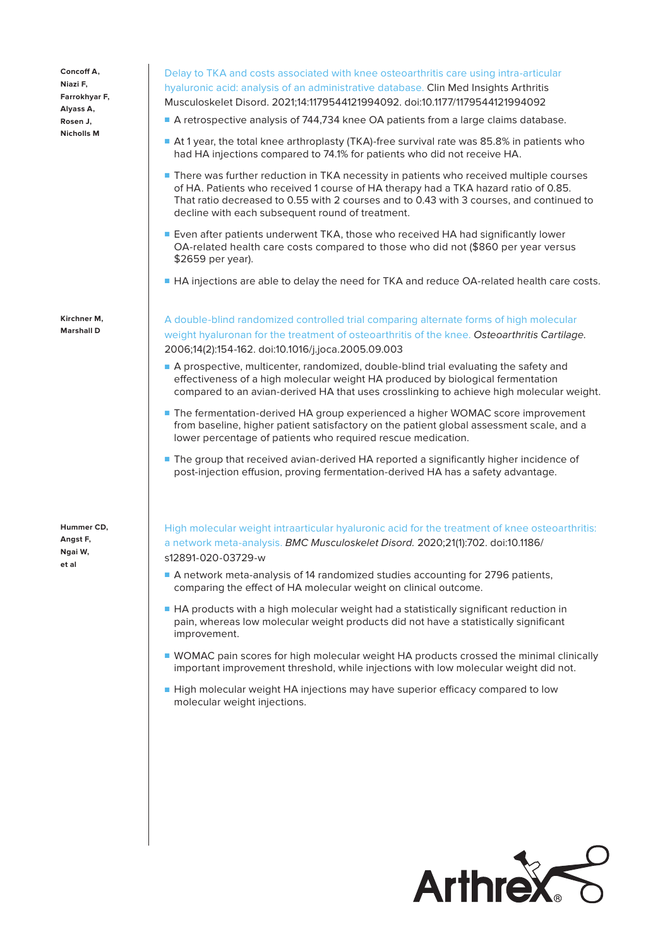**Concoff A, Niazi F, Farrokhyar F, Alyass A, Rosen J, Nicholls M**

**Kirchner M, Marshall D**

**Hummer CD, Angst F, Ngai W, et al**

[Delay to TKA and costs associated with knee osteoarthritis care using intra-articular](https://pubmed.ncbi.nlm.nih.gov/33814937/)  [hyaluronic acid: analysis of an administrative database.](https://pubmed.ncbi.nlm.nih.gov/33814937/) Clin Med Insights Arthritis Musculoskelet Disord. 2021;14:1179544121994092. doi:10.1177/1179544121994092

- A retrospective analysis of 744,734 knee OA patients from a large claims database.
- At 1 year, the total knee arthroplasty (TKA)-free survival rate was 85.8% in patients who had HA injections compared to 74.1% for patients who did not receive HA.
- There was further reduction in TKA necessity in patients who received multiple courses of HA. Patients who received 1 course of HA therapy had a TKA hazard ratio of 0.85. That ratio decreased to 0.55 with 2 courses and to 0.43 with 3 courses, and continued to decline with each subsequent round of treatment.
- Even after patients underwent TKA, those who received HA had significantly lower OA-related health care costs compared to those who did not (\$860 per year versus \$2659 per year).
- HA injections are able to delay the need for TKA and reduce OA-related health care costs.

[A double-blind randomized controlled trial comparing alternate forms of high molecular](https://pubmed.ncbi.nlm.nih.gov/16242361/)  [weight hyaluronan for the treatment of osteoarthritis of the knee.](https://pubmed.ncbi.nlm.nih.gov/16242361/) Osteoarthritis Cartilage. 2006;14(2):154-162. doi:10.1016/j.joca.2005.09.003

- A prospective, multicenter, randomized, double-blind trial evaluating the safety and effectiveness of a high molecular weight HA produced by biological fermentation compared to an avian-derived HA that uses crosslinking to achieve high molecular weight.
- The fermentation-derived HA group experienced a higher WOMAC score improvement from baseline, higher patient satisfactory on the patient global assessment scale, and a lower percentage of patients who required rescue medication.
- The group that received avian-derived HA reported a significantly higher incidence of post-injection effusion, proving fermentation-derived HA has a safety advantage.

[High molecular weight intraarticular hyaluronic acid for the treatment of knee osteoarthritis:](https://bmcmusculoskeletdisord.biomedcentral.com/articles/10.1186/s12891-020-03729-w)  [a network meta-analysis.](https://bmcmusculoskeletdisord.biomedcentral.com/articles/10.1186/s12891-020-03729-w) BMC Musculoskelet Disord. 2020;21(1):702. doi:10.1186/ s12891-020-03729-w

- A network meta-analysis of 14 randomized studies accounting for 2796 patients, comparing the effect of HA molecular weight on clinical outcome.
- HA products with a high molecular weight had a statistically significant reduction in pain, whereas low molecular weight products did not have a statistically significant improvement.
- WOMAC pain scores for high molecular weight HA products crossed the minimal clinically important improvement threshold, while injections with low molecular weight did not.
- High molecular weight HA injections may have superior efficacy compared to low molecular weight injections.